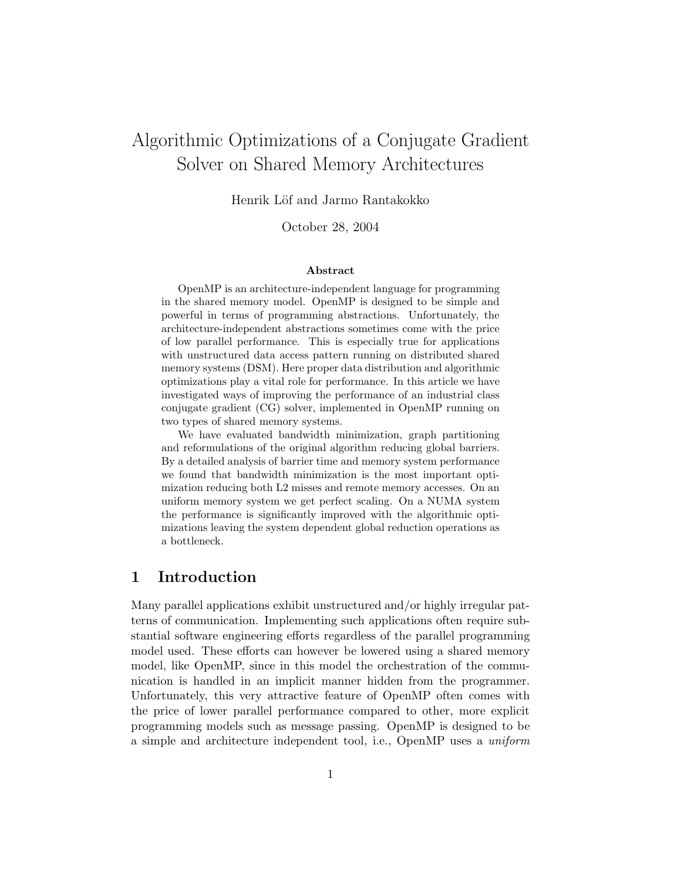# Algorithmic Optimizations of a Conjugate Gradient Solver on Shared Memory Architectures

Henrik Löf and Jarmo Rantakokko

October 28, 2004

#### **Abstract**

OpenMP is an architecture-independent language for programming in the shared memory model. OpenMP is designed to be simple and powerful in terms of programming abstractions. Unfortunately, the architecture-independent abstractions sometimes come with the price of low parallel performance. This is especially true for applications with unstructured data access pattern running on distributed shared memory systems (DSM). Here proper data distribution and algorithmic optimizations play a vital role for performance. In this article we have investigated ways of improving the performance of an industrial class conjugate gradient (CG) solver, implemented in OpenMP running on two types of shared memory systems.

We have evaluated bandwidth minimization, graph partitioning and reformulations of the original algorithm reducing global barriers. By a detailed analysis of barrier time and memory system performance we found that bandwidth minimization is the most important optimization reducing both L2 misses and remote memory accesses. On an uniform memory system we get perfect scaling. On a NUMA system the performance is significantly improved with the algorithmic optimizations leaving the system dependent global reduction operations as a bottleneck.

### **1 Introduction**

Many parallel applications exhibit unstructured and/or highly irregular patterns of communication. Implementing such applications often require substantial software engineering efforts regardless of the parallel programming model used. These efforts can however be lowered using a shared memory model, like OpenMP, since in this model the orchestration of the communication is handled in an implicit manner hidden from the programmer. Unfortunately, this very attractive feature of OpenMP often comes with the price of lower parallel performance compared to other, more explicit programming models such as message passing. OpenMP is designed to be a simple and architecture independent tool, i.e., OpenMP uses a *uniform*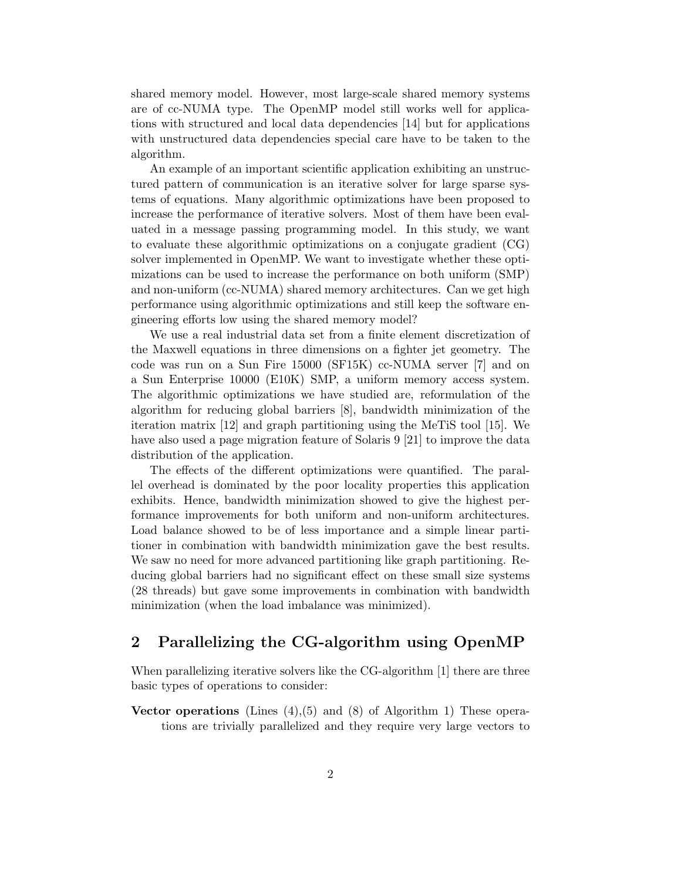shared memory model. However, most large-scale shared memory systems are of cc-NUMA type. The OpenMP model still works well for applications with structured and local data dependencies [14] but for applications with unstructured data dependencies special care have to be taken to the algorithm.

An example of an important scientific application exhibiting an unstructured pattern of communication is an iterative solver for large sparse systems of equations. Many algorithmic optimizations have been proposed to increase the performance of iterative solvers. Most of them have been evaluated in a message passing programming model. In this study, we want to evaluate these algorithmic optimizations on a conjugate gradient (CG) solver implemented in OpenMP. We want to investigate whether these optimizations can be used to increase the performance on both uniform (SMP) and non-uniform (cc-NUMA) shared memory architectures. Can we get high performance using algorithmic optimizations and still keep the software engineering efforts low using the shared memory model?

We use a real industrial data set from a finite element discretization of the Maxwell equations in three dimensions on a fighter jet geometry. The code was run on a Sun Fire 15000 (SF15K) cc-NUMA server [7] and on a Sun Enterprise 10000 (E10K) SMP, a uniform memory access system. The algorithmic optimizations we have studied are, reformulation of the algorithm for reducing global barriers [8], bandwidth minimization of the iteration matrix [12] and graph partitioning using the MeTiS tool [15]. We have also used a page migration feature of Solaris 9 [21] to improve the data distribution of the application.

The effects of the different optimizations were quantified. The parallel overhead is dominated by the poor locality properties this application exhibits. Hence, bandwidth minimization showed to give the highest performance improvements for both uniform and non-uniform architectures. Load balance showed to be of less importance and a simple linear partitioner in combination with bandwidth minimization gave the best results. We saw no need for more advanced partitioning like graph partitioning. Reducing global barriers had no significant effect on these small size systems (28 threads) but gave some improvements in combination with bandwidth minimization (when the load imbalance was minimized).

## **2 Parallelizing the CG-algorithm using OpenMP**

When parallelizing iterative solvers like the CG-algorithm [1] there are three basic types of operations to consider:

**Vector operations** (Lines (4),(5) and (8) of Algorithm 1) These operations are trivially parallelized and they require very large vectors to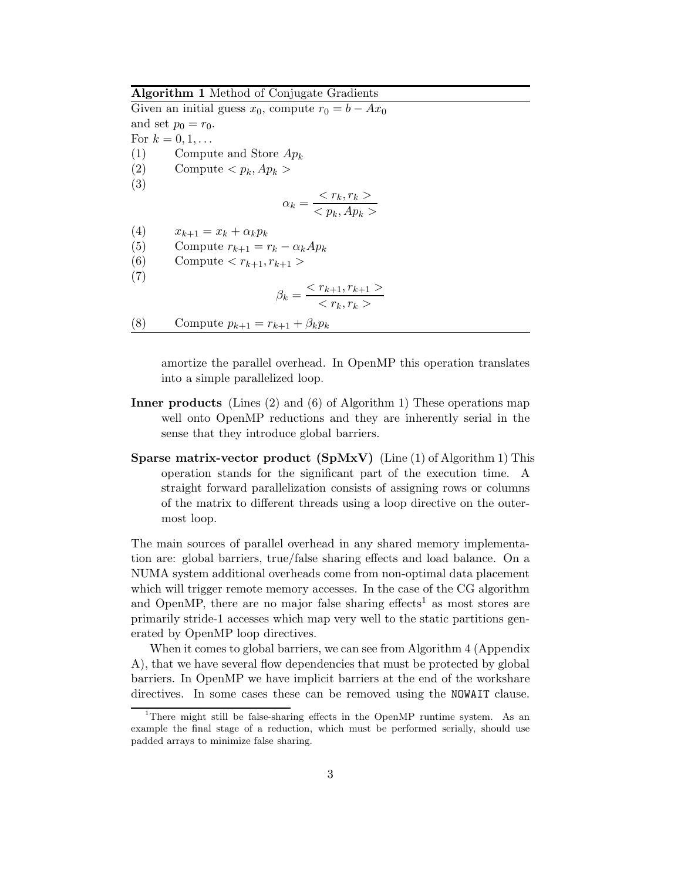**Algorithm 1** Method of Conjugate Gradients

Given an initial guess  $x_0$ , compute  $r_0 = b - Ax_0$ and set  $p_0 = r_0$ . For  $k = 0, 1, \ldots$ (1) Compute and Store  $Ap_k$ (2) Compute  $$ (3)  $\alpha_k = \frac{}{}$ (4)  $x_{k+1} = x_k + \alpha_k p_k$ (5) Compute  $r_{k+1} = r_k - \alpha_k A p_k$ <br>(6) Compute  $\langle r_{k+1}, r_{k+1} \rangle$ Compute  $\langle r_{k+1}, r_{k+1} \rangle$ (7)  $\beta_k = \frac{r_{k+1}, r_{k+1} >}{r_k, r_k >}$ (8) Compute  $p_{k+1} = r_{k+1} + \beta_k p_k$ 

> amortize the parallel overhead. In OpenMP this operation translates into a simple parallelized loop.

- **Inner products** (Lines (2) and (6) of Algorithm 1) These operations map well onto OpenMP reductions and they are inherently serial in the sense that they introduce global barriers.
- **Sparse matrix-vector product (SpMxV)** (Line (1) of Algorithm 1) This operation stands for the significant part of the execution time. A straight forward parallelization consists of assigning rows or columns of the matrix to different threads using a loop directive on the outermost loop.

The main sources of parallel overhead in any shared memory implementation are: global barriers, true/false sharing effects and load balance. On a NUMA system additional overheads come from non-optimal data placement which will trigger remote memory accesses. In the case of the CG algorithm and OpenMP, there are no major false sharing effects<sup>1</sup> as most stores are primarily stride-1 accesses which map very well to the static partitions generated by OpenMP loop directives.

When it comes to global barriers, we can see from Algorithm 4 (Appendix A), that we have several flow dependencies that must be protected by global barriers. In OpenMP we have implicit barriers at the end of the workshare directives. In some cases these can be removed using the NOWAIT clause.

<sup>&</sup>lt;sup>1</sup>There might still be false-sharing effects in the OpenMP runtime system. As an example the final stage of a reduction, which must be performed serially, should use padded arrays to minimize false sharing.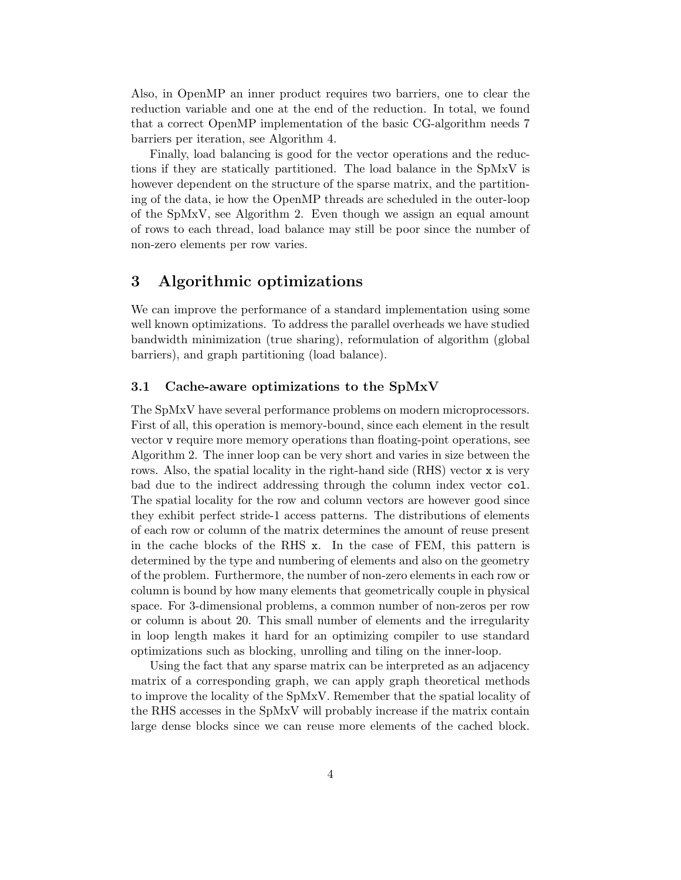Also, in OpenMP an inner product requires two barriers, one to clear the reduction variable and one at the end of the reduction. In total, we found that a correct OpenMP implementation of the basic CG-algorithm needs 7 barriers per iteration, see Algorithm 4.

Finally, load balancing is good for the vector operations and the reductions if they are statically partitioned. The load balance in the SpMxV is however dependent on the structure of the sparse matrix, and the partitioning of the data, ie how the OpenMP threads are scheduled in the outer-loop of the SpMxV, see Algorithm 2. Even though we assign an equal amount of rows to each thread, load balance may still be poor since the number of non-zero elements per row varies.

### **3 Algorithmic optimizations**

We can improve the performance of a standard implementation using some well known optimizations. To address the parallel overheads we have studied bandwidth minimization (true sharing), reformulation of algorithm (global barriers), and graph partitioning (load balance).

### **3.1 Cache-aware optimizations to the SpMxV**

The SpMxV have several performance problems on modern microprocessors. First of all, this operation is memory-bound, since each element in the result vector v require more memory operations than floating-point operations, see Algorithm 2. The inner loop can be very short and varies in size between the rows. Also, the spatial locality in the right-hand side (RHS) vector x is very bad due to the indirect addressing through the column index vector col. The spatial locality for the row and column vectors are however good since they exhibit perfect stride-1 access patterns. The distributions of elements of each row or column of the matrix determines the amount of reuse present in the cache blocks of the RHS x. In the case of FEM, this pattern is determined by the type and numbering of elements and also on the geometry of the problem. Furthermore, the number of non-zero elements in each row or column is bound by how many elements that geometrically couple in physical space. For 3-dimensional problems, a common number of non-zeros per row or column is about 20. This small number of elements and the irregularity in loop length makes it hard for an optimizing compiler to use standard optimizations such as blocking, unrolling and tiling on the inner-loop.

Using the fact that any sparse matrix can be interpreted as an adjacency matrix of a corresponding graph, we can apply graph theoretical methods to improve the locality of the SpMxV. Remember that the spatial locality of the RHS accesses in the SpMxV will probably increase if the matrix contain large dense blocks since we can reuse more elements of the cached block.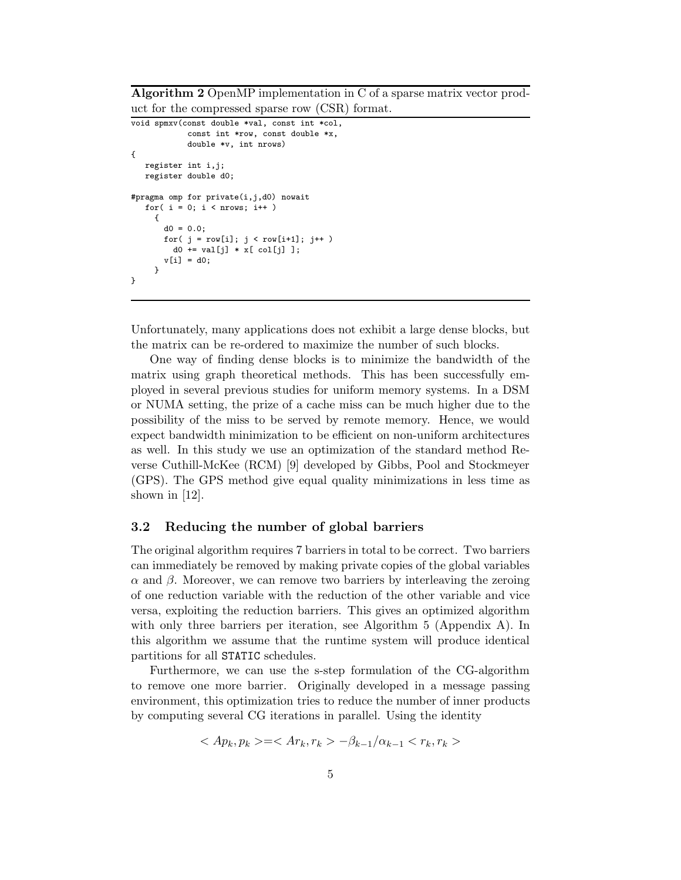**Algorithm 2** OpenMP implementation in C of a sparse matrix vector product for the compressed sparse row (CSR) format.

```
void spmxv(const double *val, const int *col,
            const int *row, const double *x,
            double *v, int nrows)
{
  register int i,j;
  register double d0;
#pragma omp for private(i,j,d0) nowait
  for(i = 0; i <nrows; i++)
    {
       d0 = 0.0;
       for( j = row[i]; j < row[i+1]; j++)d0 \text{ += } val[j] * x[ col[j] ];v[i] = d0:
    }
}
```
Unfortunately, many applications does not exhibit a large dense blocks, but the matrix can be re-ordered to maximize the number of such blocks.

One way of finding dense blocks is to minimize the bandwidth of the matrix using graph theoretical methods. This has been successfully employed in several previous studies for uniform memory systems. In a DSM or NUMA setting, the prize of a cache miss can be much higher due to the possibility of the miss to be served by remote memory. Hence, we would expect bandwidth minimization to be efficient on non-uniform architectures as well. In this study we use an optimization of the standard method Reverse Cuthill-McKee (RCM) [9] developed by Gibbs, Pool and Stockmeyer (GPS). The GPS method give equal quality minimizations in less time as shown in [12].

#### **3.2 Reducing the number of global barriers**

The original algorithm requires 7 barriers in total to be correct. Two barriers can immediately be removed by making private copies of the global variables α and β. Moreover, we can remove two barriers by interleaving the zeroing of one reduction variable with the reduction of the other variable and vice versa, exploiting the reduction barriers. This gives an optimized algorithm with only three barriers per iteration, see Algorithm 5 (Appendix A). In this algorithm we assume that the runtime system will produce identical partitions for all STATIC schedules.

Furthermore, we can use the s-step formulation of the CG-algorithm to remove one more barrier. Originally developed in a message passing environment, this optimization tries to reduce the number of inner products by computing several CG iterations in parallel. Using the identity

$$
\langle Ap_k, p_k \rangle = \langle Ar_k, r_k \rangle -\beta_{k-1}/\alpha_{k-1} \langle r_k, r_k \rangle
$$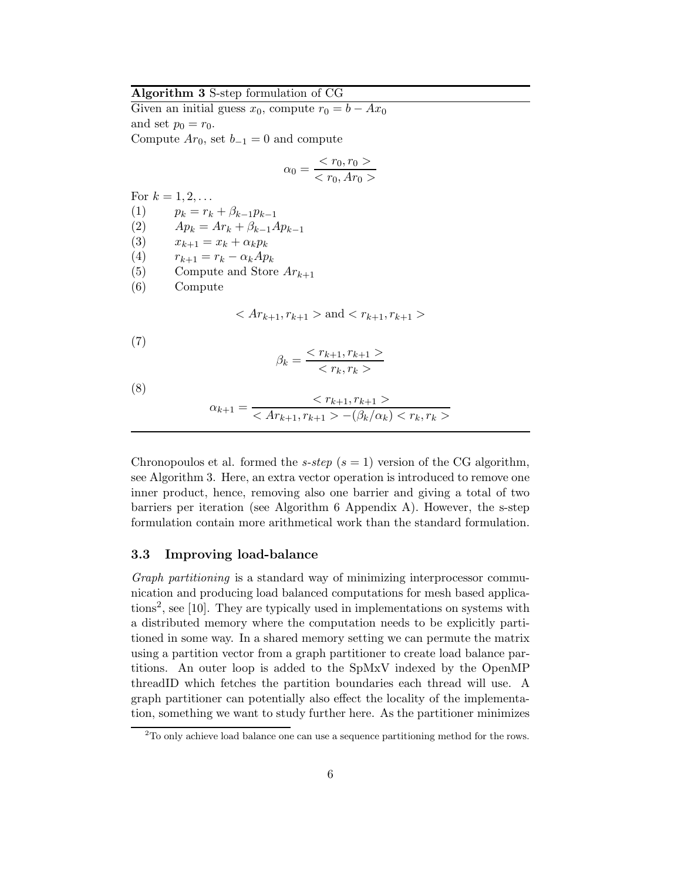### **Algorithm 3** S-step formulation of CG

Given an initial guess  $x_0$ , compute  $r_0 = b - Ax_0$ and set  $p_0 = r_0$ . Compute  $Ar_0$ , set  $b_{-1} = 0$  and compute

$$
\alpha_0 = \frac{}{}
$$

For  $k = 1, 2, ...$ 

$$
(1) \qquad p_k = r_k + \beta_{k-1} p_{k-1}
$$

- (2)  $Ap_k = Ar_k + \beta_{k-1}Ap_{k-1}$
- (3)  $x_{k+1} = x_k + \alpha_k p_k$
- (4)  $r_{k+1} = r_k \alpha_k Ap_k$ <br>(5) Compute and Store
- Compute and Store  $Ar_{k+1}$
- (6) Compute

$$
\text{and} < r_{k+1}, r_{k+1}>
$$

(7)

$$
\beta_k = \frac{}{}
$$

(8)

$$
\alpha_{k+1} = \frac{r_{k+1}, r_{k+1} >}{-\(\beta\_k/\alpha\_k\) < r\_k, r\_k>}
$$

Chronopoulos et al. formed the  $s\text{-}step$  ( $s = 1$ ) version of the CG algorithm, see Algorithm 3. Here, an extra vector operation is introduced to remove one inner product, hence, removing also one barrier and giving a total of two barriers per iteration (see Algorithm 6 Appendix A). However, the s-step formulation contain more arithmetical work than the standard formulation.

### **3.3 Improving load-balance**

*Graph partitioning* is a standard way of minimizing interprocessor communication and producing load balanced computations for mesh based applications<sup>2</sup>, see [10]. They are typically used in implementations on systems with a distributed memory where the computation needs to be explicitly partitioned in some way. In a shared memory setting we can permute the matrix using a partition vector from a graph partitioner to create load balance partitions. An outer loop is added to the SpMxV indexed by the OpenMP threadID which fetches the partition boundaries each thread will use. A graph partitioner can potentially also effect the locality of the implementation, something we want to study further here. As the partitioner minimizes

 $2^2$ To only achieve load balance one can use a sequence partitioning method for the rows.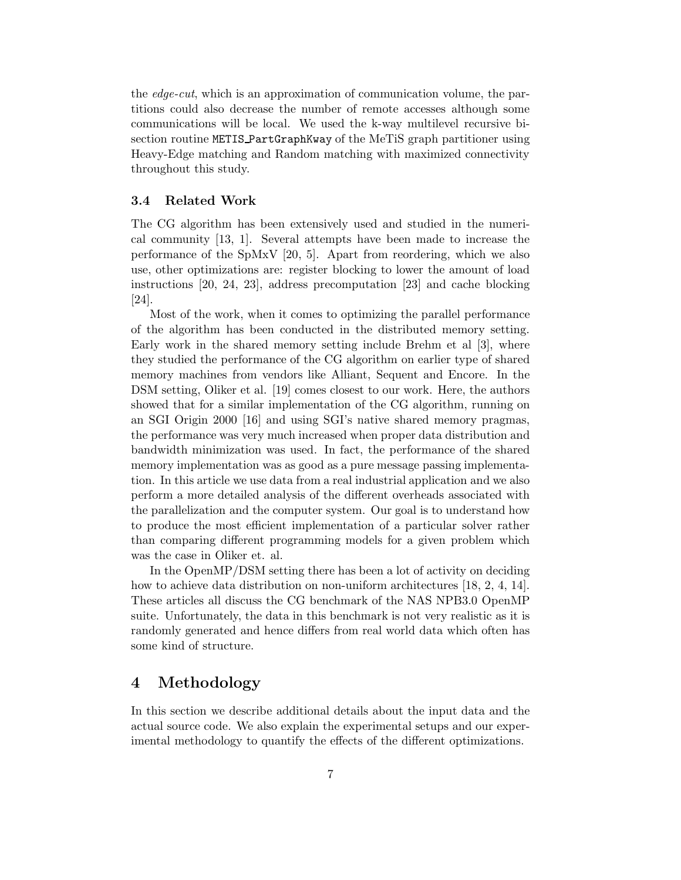the *edge-cut*, which is an approximation of communication volume, the partitions could also decrease the number of remote accesses although some communications will be local. We used the k-way multilevel recursive bisection routine METIS PartGraphKway of the MeTiS graph partitioner using Heavy-Edge matching and Random matching with maximized connectivity throughout this study.

### **3.4 Related Work**

The CG algorithm has been extensively used and studied in the numerical community [13, 1]. Several attempts have been made to increase the performance of the SpMxV [20, 5]. Apart from reordering, which we also use, other optimizations are: register blocking to lower the amount of load instructions [20, 24, 23], address precomputation [23] and cache blocking [24].

Most of the work, when it comes to optimizing the parallel performance of the algorithm has been conducted in the distributed memory setting. Early work in the shared memory setting include Brehm et al [3], where they studied the performance of the CG algorithm on earlier type of shared memory machines from vendors like Alliant, Sequent and Encore. In the DSM setting, Oliker et al. [19] comes closest to our work. Here, the authors showed that for a similar implementation of the CG algorithm, running on an SGI Origin 2000 [16] and using SGI's native shared memory pragmas, the performance was very much increased when proper data distribution and bandwidth minimization was used. In fact, the performance of the shared memory implementation was as good as a pure message passing implementation. In this article we use data from a real industrial application and we also perform a more detailed analysis of the different overheads associated with the parallelization and the computer system. Our goal is to understand how to produce the most efficient implementation of a particular solver rather than comparing different programming models for a given problem which was the case in Oliker et. al.

In the OpenMP/DSM setting there has been a lot of activity on deciding how to achieve data distribution on non-uniform architectures [18, 2, 4, 14]. These articles all discuss the CG benchmark of the NAS NPB3.0 OpenMP suite. Unfortunately, the data in this benchmark is not very realistic as it is randomly generated and hence differs from real world data which often has some kind of structure.

### **4 Methodology**

In this section we describe additional details about the input data and the actual source code. We also explain the experimental setups and our experimental methodology to quantify the effects of the different optimizations.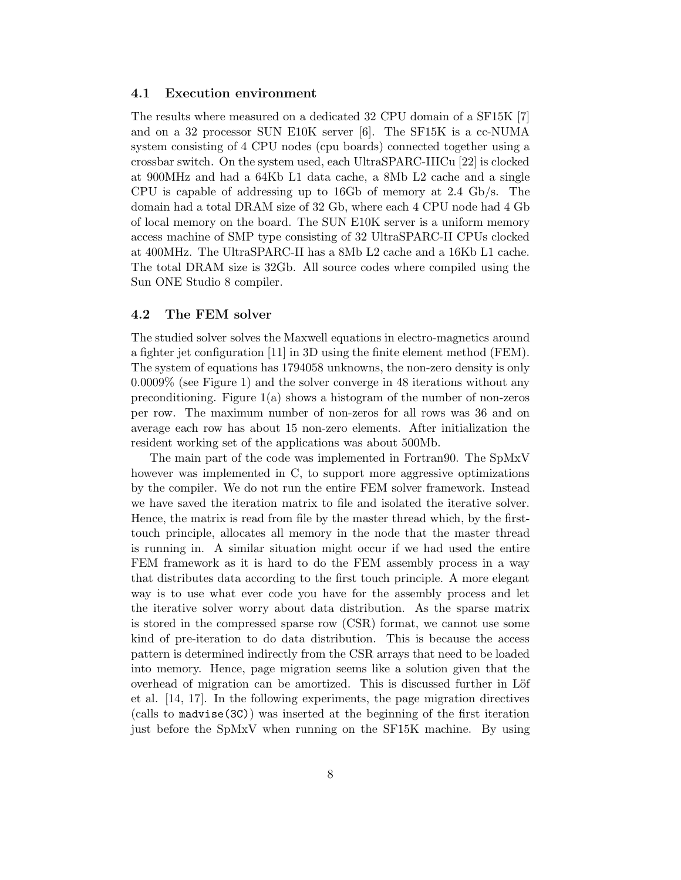#### **4.1 Execution environment**

The results where measured on a dedicated 32 CPU domain of a SF15K [7] and on a 32 processor SUN E10K server [6]. The SF15K is a cc-NUMA system consisting of 4 CPU nodes (cpu boards) connected together using a crossbar switch. On the system used, each UltraSPARC-IIICu [22] is clocked at 900MHz and had a 64Kb L1 data cache, a 8Mb L2 cache and a single CPU is capable of addressing up to 16Gb of memory at 2.4 Gb/s. The domain had a total DRAM size of 32 Gb, where each 4 CPU node had 4 Gb of local memory on the board. The SUN E10K server is a uniform memory access machine of SMP type consisting of 32 UltraSPARC-II CPUs clocked at 400MHz. The UltraSPARC-II has a 8Mb L2 cache and a 16Kb L1 cache. The total DRAM size is 32Gb. All source codes where compiled using the Sun ONE Studio 8 compiler.

### **4.2 The FEM solver**

The studied solver solves the Maxwell equations in electro-magnetics around a fighter jet configuration [11] in 3D using the finite element method (FEM). The system of equations has 1794058 unknowns, the non-zero density is only 0.0009% (see Figure 1) and the solver converge in 48 iterations without any preconditioning. Figure  $1(a)$  shows a histogram of the number of non-zeros per row. The maximum number of non-zeros for all rows was 36 and on average each row has about 15 non-zero elements. After initialization the resident working set of the applications was about 500Mb.

The main part of the code was implemented in Fortran90. The SpMxV however was implemented in C, to support more aggressive optimizations by the compiler. We do not run the entire FEM solver framework. Instead we have saved the iteration matrix to file and isolated the iterative solver. Hence, the matrix is read from file by the master thread which, by the firsttouch principle, allocates all memory in the node that the master thread is running in. A similar situation might occur if we had used the entire FEM framework as it is hard to do the FEM assembly process in a way that distributes data according to the first touch principle. A more elegant way is to use what ever code you have for the assembly process and let the iterative solver worry about data distribution. As the sparse matrix is stored in the compressed sparse row (CSR) format, we cannot use some kind of pre-iteration to do data distribution. This is because the access pattern is determined indirectly from the CSR arrays that need to be loaded into memory. Hence, page migration seems like a solution given that the overhead of migration can be amortized. This is discussed further in Löf et al. [14, 17]. In the following experiments, the page migration directives (calls to madvise(3C)) was inserted at the beginning of the first iteration just before the SpMxV when running on the SF15K machine. By using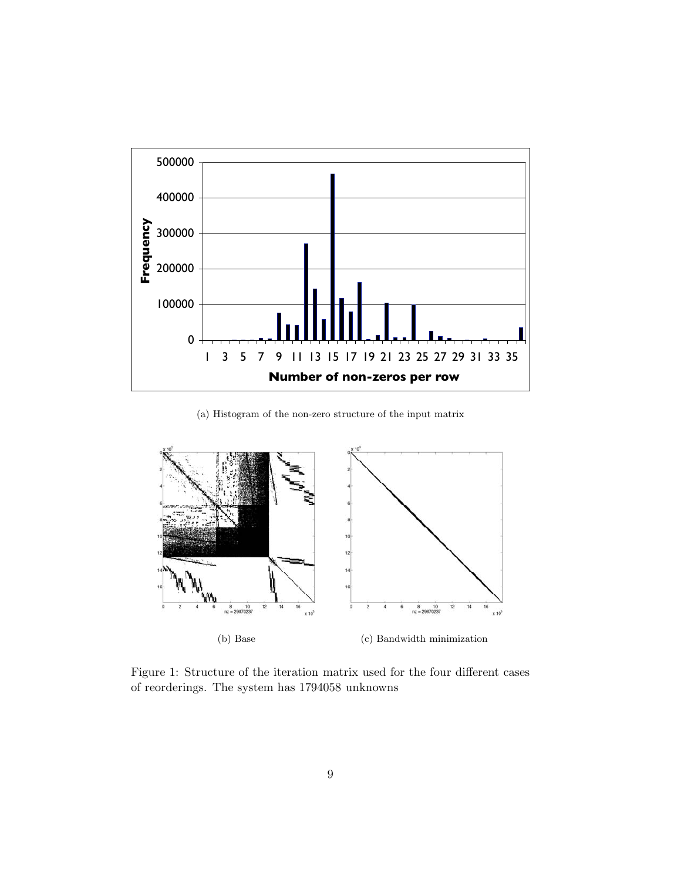

(a) Histogram of the non-zero structure of the input matrix



Figure 1: Structure of the iteration matrix used for the four different cases of reorderings. The system has 1794058 unknowns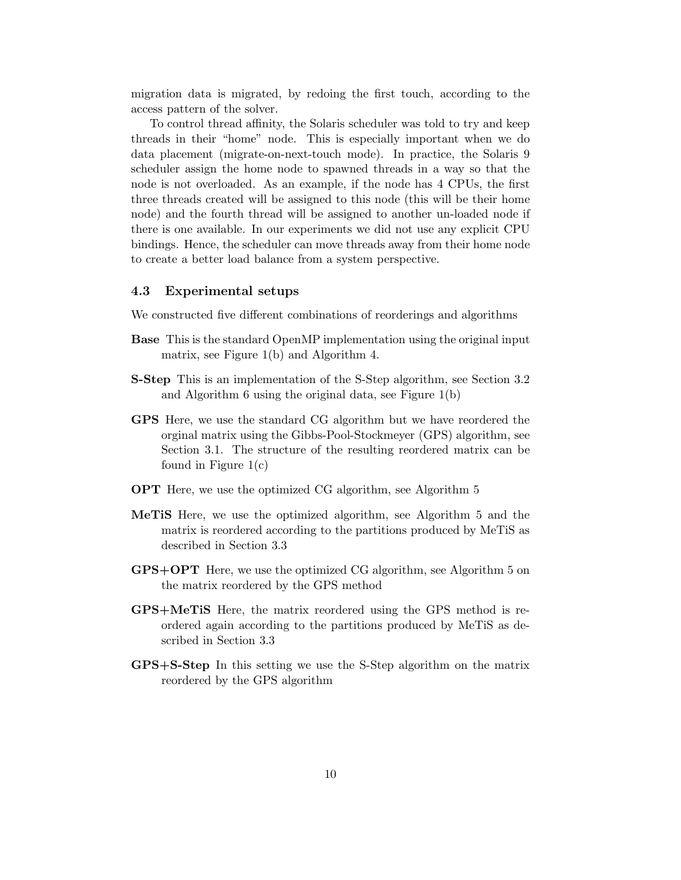migration data is migrated, by redoing the first touch, according to the access pattern of the solver.

To control thread affinity, the Solaris scheduler was told to try and keep threads in their "home" node. This is especially important when we do data placement (migrate-on-next-touch mode). In practice, the Solaris 9 scheduler assign the home node to spawned threads in a way so that the node is not overloaded. As an example, if the node has 4 CPUs, the first three threads created will be assigned to this node (this will be their home node) and the fourth thread will be assigned to another un-loaded node if there is one available. In our experiments we did not use any explicit CPU bindings. Hence, the scheduler can move threads away from their home node to create a better load balance from a system perspective.

#### **4.3 Experimental setups**

We constructed five different combinations of reorderings and algorithms

- **Base** This is the standard OpenMP implementation using the original input matrix, see Figure 1(b) and Algorithm 4.
- **S-Step** This is an implementation of the S-Step algorithm, see Section 3.2 and Algorithm 6 using the original data, see Figure 1(b)
- **GPS** Here, we use the standard CG algorithm but we have reordered the orginal matrix using the Gibbs-Pool-Stockmeyer (GPS) algorithm, see Section 3.1. The structure of the resulting reordered matrix can be found in Figure 1(c)
- **OPT** Here, we use the optimized CG algorithm, see Algorithm 5
- **MeTiS** Here, we use the optimized algorithm, see Algorithm 5 and the matrix is reordered according to the partitions produced by MeTiS as described in Section 3.3
- **GPS+OPT** Here, we use the optimized CG algorithm, see Algorithm 5 on the matrix reordered by the GPS method
- **GPS+MeTiS** Here, the matrix reordered using the GPS method is reordered again according to the partitions produced by MeTiS as described in Section 3.3
- **GPS+S-Step** In this setting we use the S-Step algorithm on the matrix reordered by the GPS algorithm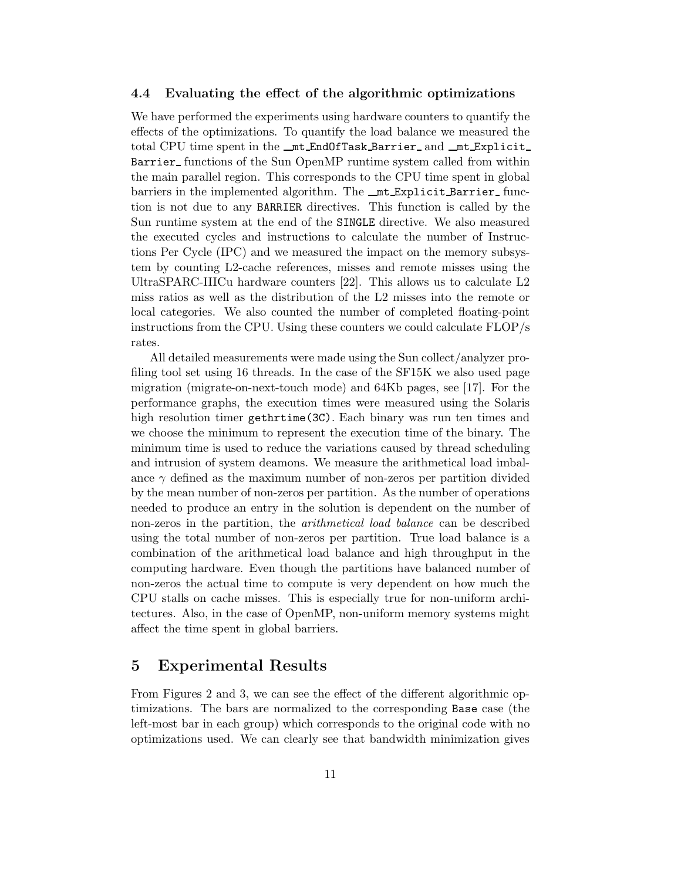#### **4.4 Evaluating the effect of the algorithmic optimizations**

We have performed the experiments using hardware counters to quantify the effects of the optimizations. To quantify the load balance we measured the total CPU time spent in the \_mt EndOfTask Barrier\_and \_mt Explicit\_ Barrier functions of the Sun OpenMP runtime system called from within the main parallel region. This corresponds to the CPU time spent in global barriers in the implemented algorithm. The  $\text{m.t.}$  Explicit Barrier function is not due to any BARRIER directives. This function is called by the Sun runtime system at the end of the SINGLE directive. We also measured the executed cycles and instructions to calculate the number of Instructions Per Cycle (IPC) and we measured the impact on the memory subsystem by counting L2-cache references, misses and remote misses using the UltraSPARC-IIICu hardware counters [22]. This allows us to calculate L2 miss ratios as well as the distribution of the L2 misses into the remote or local categories. We also counted the number of completed floating-point instructions from the CPU. Using these counters we could calculate FLOP/s rates.

All detailed measurements were made using the Sun collect/analyzer profiling tool set using 16 threads. In the case of the SF15K we also used page migration (migrate-on-next-touch mode) and 64Kb pages, see [17]. For the performance graphs, the execution times were measured using the Solaris high resolution timer gethrtime(3C). Each binary was run ten times and we choose the minimum to represent the execution time of the binary. The minimum time is used to reduce the variations caused by thread scheduling and intrusion of system deamons. We measure the arithmetical load imbalance  $\gamma$  defined as the maximum number of non-zeros per partition divided by the mean number of non-zeros per partition. As the number of operations needed to produce an entry in the solution is dependent on the number of non-zeros in the partition, the *arithmetical load balance* can be described using the total number of non-zeros per partition. True load balance is a combination of the arithmetical load balance and high throughput in the computing hardware. Even though the partitions have balanced number of non-zeros the actual time to compute is very dependent on how much the CPU stalls on cache misses. This is especially true for non-uniform architectures. Also, in the case of OpenMP, non-uniform memory systems might affect the time spent in global barriers.

### **5 Experimental Results**

From Figures 2 and 3, we can see the effect of the different algorithmic optimizations. The bars are normalized to the corresponding Base case (the left-most bar in each group) which corresponds to the original code with no optimizations used. We can clearly see that bandwidth minimization gives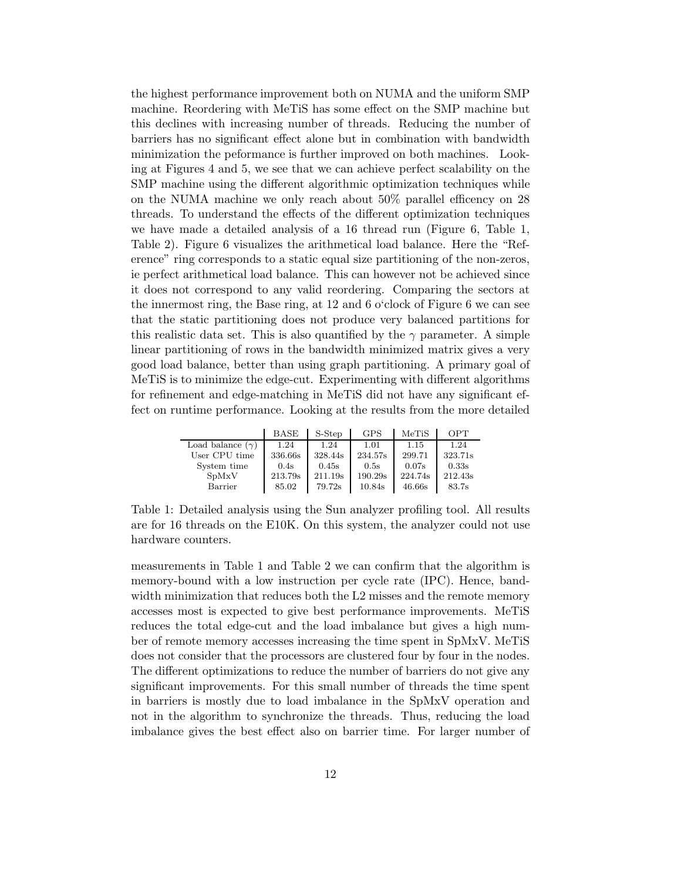the highest performance improvement both on NUMA and the uniform SMP machine. Reordering with MeTiS has some effect on the SMP machine but this declines with increasing number of threads. Reducing the number of barriers has no significant effect alone but in combination with bandwidth minimization the peformance is further improved on both machines. Looking at Figures 4 and 5, we see that we can achieve perfect scalability on the SMP machine using the different algorithmic optimization techniques while on the NUMA machine we only reach about 50% parallel efficency on 28 threads. To understand the effects of the different optimization techniques we have made a detailed analysis of a 16 thread run (Figure 6, Table 1, Table 2). Figure 6 visualizes the arithmetical load balance. Here the "Reference" ring corresponds to a static equal size partitioning of the non-zeros, ie perfect arithmetical load balance. This can however not be achieved since it does not correspond to any valid reordering. Comparing the sectors at the innermost ring, the Base ring, at 12 and 6 o'clock of Figure 6 we can see that the static partitioning does not produce very balanced partitions for this realistic data set. This is also quantified by the  $\gamma$  parameter. A simple linear partitioning of rows in the bandwidth minimized matrix gives a very good load balance, better than using graph partitioning. A primary goal of MeTiS is to minimize the edge-cut. Experimenting with different algorithms for refinement and edge-matching in MeTiS did not have any significant effect on runtime performance. Looking at the results from the more detailed

|                         | <b>BASE</b> | S-Step  | <b>GPS</b> | MeTiS   | OPT     |
|-------------------------|-------------|---------|------------|---------|---------|
| Load balance $(\gamma)$ | 1.24        | 1.24    | 1.01       | 1.15    | 1.24    |
| User CPU time           | 336.66s     | 328.44s | 234.57s    | 299.71  | 323.71s |
| System time             | 0.4s        | 0.45s   | 0.5s       | 0.07s   | 0.33s   |
| SpMxV                   | 213.79s     | 211.19s | 190.29s    | 224.74s | 212.43s |
| Barrier                 | 85.02       | 79.72s  | 10.84s     | 46.66s  | 83.7s   |

Table 1: Detailed analysis using the Sun analyzer profiling tool. All results are for 16 threads on the E10K. On this system, the analyzer could not use hardware counters.

measurements in Table 1 and Table 2 we can confirm that the algorithm is memory-bound with a low instruction per cycle rate (IPC). Hence, bandwidth minimization that reduces both the L2 misses and the remote memory accesses most is expected to give best performance improvements. MeTiS reduces the total edge-cut and the load imbalance but gives a high number of remote memory accesses increasing the time spent in SpMxV. MeTiS does not consider that the processors are clustered four by four in the nodes. The different optimizations to reduce the number of barriers do not give any significant improvements. For this small number of threads the time spent in barriers is mostly due to load imbalance in the SpMxV operation and not in the algorithm to synchronize the threads. Thus, reducing the load imbalance gives the best effect also on barrier time. For larger number of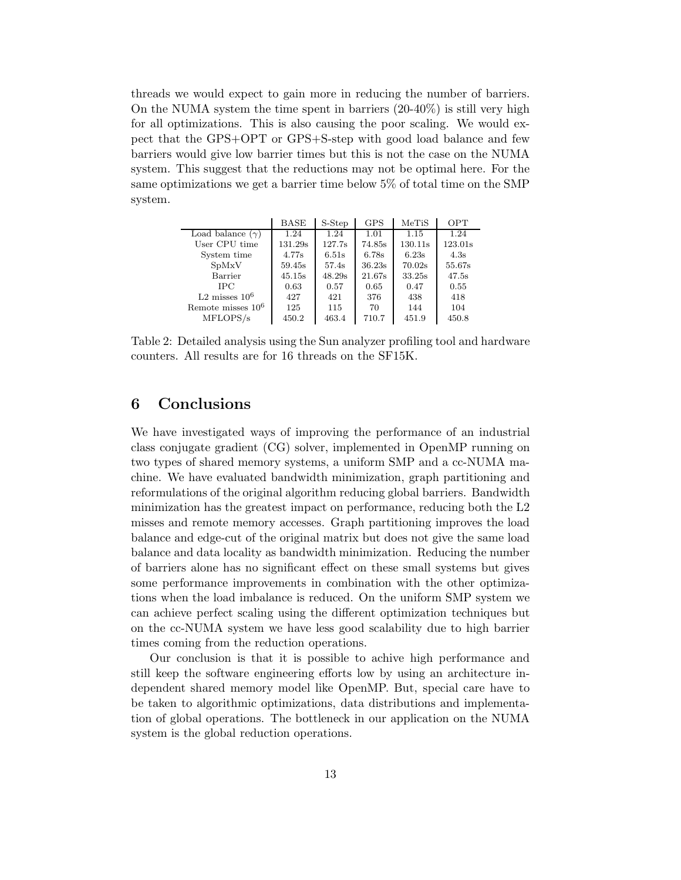threads we would expect to gain more in reducing the number of barriers. On the NUMA system the time spent in barriers (20-40%) is still very high for all optimizations. This is also causing the poor scaling. We would expect that the GPS+OPT or GPS+S-step with good load balance and few barriers would give low barrier times but this is not the case on the NUMA system. This suggest that the reductions may not be optimal here. For the same optimizations we get a barrier time below 5% of total time on the SMP system.

|                         | <b>BASE</b> | S-Step | <b>GPS</b> | MeTiS   | <b>OPT</b> |
|-------------------------|-------------|--------|------------|---------|------------|
| Load balance $(\gamma)$ | 1.24        | 1.24   | 1.01       | 1.15    | 1.24       |
| User CPU time           | 131.29s     | 127.7s | 74.85s     | 130.11s | 123.01s    |
| System time             | 4.77s       | 6.51s  | 6.78s      | 6.23s   | 4.3s       |
| SpMxV                   | 59.45s      | 57.4s  | 36.23s     | 70.02s  | 55.67s     |
| Barrier                 | 45.15s      | 48.29s | 21.67s     | 33.25s  | 47.5s      |
| <b>IPC</b>              | 0.63        | 0.57   | 0.65       | 0.47    | 0.55       |
| $L2$ misses $106$       | 427         | 421    | 376        | 438     | 418        |
| Remote misses $10^6$    | 125         | 115    | 70         | 144     | 104        |
| MFLOPS/s                | 450.2       | 463.4  | 710.7      | 451.9   | 450.8      |

Table 2: Detailed analysis using the Sun analyzer profiling tool and hardware counters. All results are for 16 threads on the SF15K.

### **6 Conclusions**

We have investigated ways of improving the performance of an industrial class conjugate gradient (CG) solver, implemented in OpenMP running on two types of shared memory systems, a uniform SMP and a cc-NUMA machine. We have evaluated bandwidth minimization, graph partitioning and reformulations of the original algorithm reducing global barriers. Bandwidth minimization has the greatest impact on performance, reducing both the L2 misses and remote memory accesses. Graph partitioning improves the load balance and edge-cut of the original matrix but does not give the same load balance and data locality as bandwidth minimization. Reducing the number of barriers alone has no significant effect on these small systems but gives some performance improvements in combination with the other optimizations when the load imbalance is reduced. On the uniform SMP system we can achieve perfect scaling using the different optimization techniques but on the cc-NUMA system we have less good scalability due to high barrier times coming from the reduction operations.

Our conclusion is that it is possible to achive high performance and still keep the software engineering efforts low by using an architecture independent shared memory model like OpenMP. But, special care have to be taken to algorithmic optimizations, data distributions and implementation of global operations. The bottleneck in our application on the NUMA system is the global reduction operations.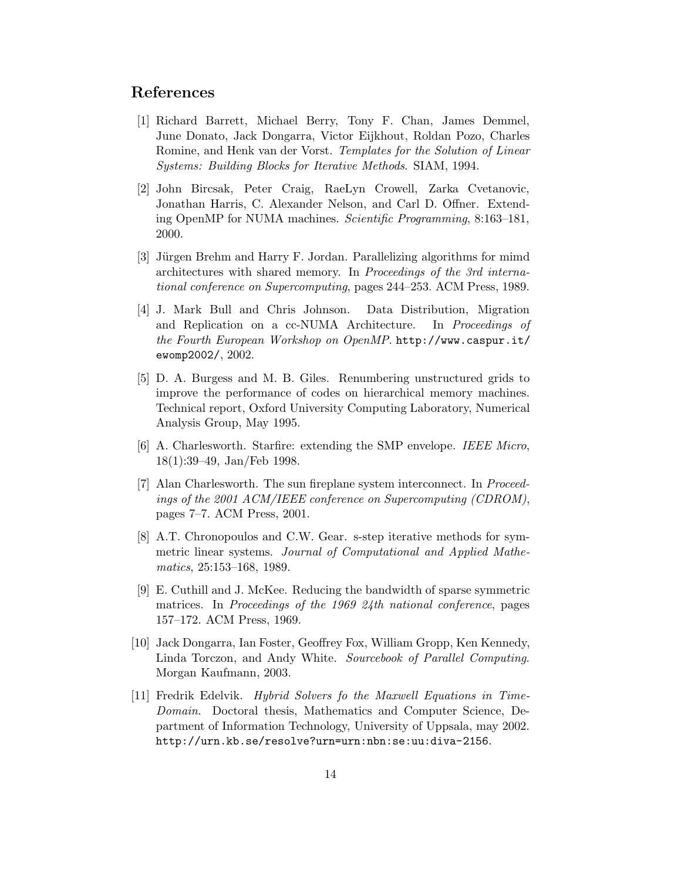### **References**

- [1] Richard Barrett, Michael Berry, Tony F. Chan, James Demmel, June Donato, Jack Dongarra, Victor Eijkhout, Roldan Pozo, Charles Romine, and Henk van der Vorst. *Templates for the Solution of Linear Systems: Building Blocks for Iterative Methods*. SIAM, 1994.
- [2] John Bircsak, Peter Craig, RaeLyn Crowell, Zarka Cvetanovic, Jonathan Harris, C. Alexander Nelson, and Carl D. Offner. Extending OpenMP for NUMA machines. *Scientific Programming*, 8:163–181, 2000.
- [3] Jürgen Brehm and Harry F. Jordan. Parallelizing algorithms for mimd architectures with shared memory. In *Proceedings of the 3rd international conference on Supercomputing*, pages 244–253. ACM Press, 1989.
- [4] J. Mark Bull and Chris Johnson. Data Distribution, Migration and Replication on a cc-NUMA Architecture. In *Proceedings of the Fourth European Workshop on OpenMP*. http://www.caspur.it/ ewomp2002/, 2002.
- [5] D. A. Burgess and M. B. Giles. Renumbering unstructured grids to improve the performance of codes on hierarchical memory machines. Technical report, Oxford University Computing Laboratory, Numerical Analysis Group, May 1995.
- [6] A. Charlesworth. Starfire: extending the SMP envelope. *IEEE Micro*, 18(1):39–49, Jan/Feb 1998.
- [7] Alan Charlesworth. The sun fireplane system interconnect. In *Proceedings of the 2001 ACM/IEEE conference on Supercomputing (CDROM)*, pages 7–7. ACM Press, 2001.
- [8] A.T. Chronopoulos and C.W. Gear. s-step iterative methods for symmetric linear systems. *Journal of Computational and Applied Mathematics*, 25:153–168, 1989.
- [9] E. Cuthill and J. McKee. Reducing the bandwidth of sparse symmetric matrices. In *Proceedings of the 1969 24th national conference*, pages 157–172. ACM Press, 1969.
- [10] Jack Dongarra, Ian Foster, Geoffrey Fox, William Gropp, Ken Kennedy, Linda Torczon, and Andy White. *Sourcebook of Parallel Computing*. Morgan Kaufmann, 2003.
- [11] Fredrik Edelvik. *Hybrid Solvers fo the Maxwell Equations in Time-Domain*. Doctoral thesis, Mathematics and Computer Science, Department of Information Technology, University of Uppsala, may 2002. http://urn.kb.se/resolve?urn=urn:nbn:se:uu:diva-2156.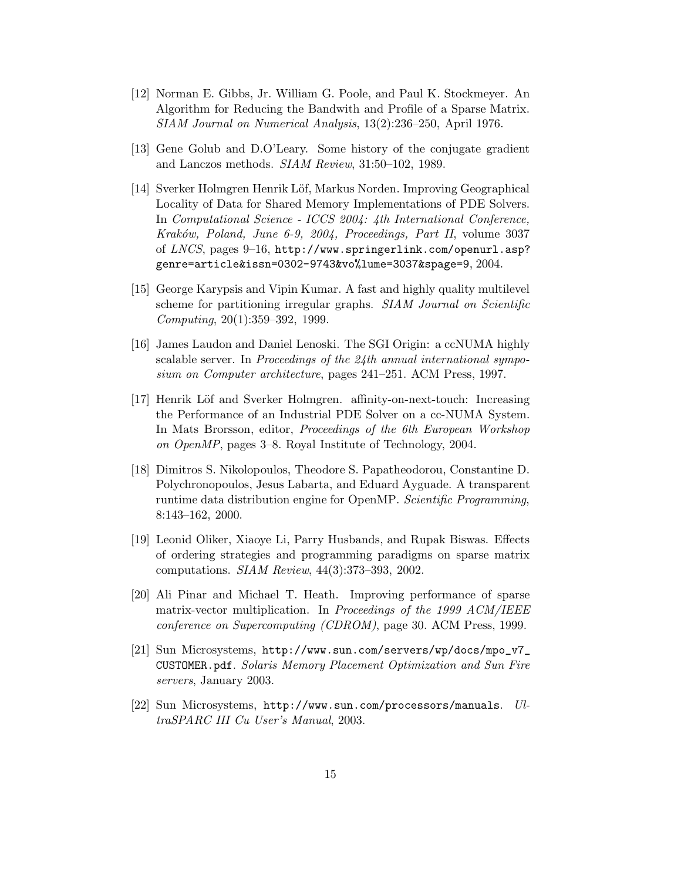- [12] Norman E. Gibbs, Jr. William G. Poole, and Paul K. Stockmeyer. An Algorithm for Reducing the Bandwith and Profile of a Sparse Matrix. *SIAM Journal on Numerical Analysis*, 13(2):236–250, April 1976.
- [13] Gene Golub and D.O'Leary. Some history of the conjugate gradient and Lanczos methods. *SIAM Review*, 31:50–102, 1989.
- [14] Sverker Holmgren Henrik Löf, Markus Norden. Improving Geographical Locality of Data for Shared Memory Implementations of PDE Solvers. In *Computational Science - ICCS 2004: 4th International Conference, Krak´ow, Poland, June 6-9, 2004, Proceedings, Part II*, volume 3037 of *LNCS*, pages 9–16, http://www.springerlink.com/openurl.asp? genre=article&issn=0302-9743&vo%lume=3037&spage=9, 2004.
- [15] George Karypsis and Vipin Kumar. A fast and highly quality multilevel scheme for partitioning irregular graphs. *SIAM Journal on Scientific Computing*, 20(1):359–392, 1999.
- [16] James Laudon and Daniel Lenoski. The SGI Origin: a ccNUMA highly scalable server. In *Proceedings of the 24th annual international symposium on Computer architecture*, pages 241–251. ACM Press, 1997.
- [17] Henrik Löf and Sverker Holmgren. affinity-on-next-touch: Increasing the Performance of an Industrial PDE Solver on a cc-NUMA System. In Mats Brorsson, editor, *Proceedings of the 6th European Workshop on OpenMP*, pages 3–8. Royal Institute of Technology, 2004.
- [18] Dimitros S. Nikolopoulos, Theodore S. Papatheodorou, Constantine D. Polychronopoulos, Jesus Labarta, and Eduard Ayguade. A transparent runtime data distribution engine for OpenMP. *Scientific Programming*, 8:143–162, 2000.
- [19] Leonid Oliker, Xiaoye Li, Parry Husbands, and Rupak Biswas. Effects of ordering strategies and programming paradigms on sparse matrix computations. *SIAM Review*, 44(3):373–393, 2002.
- [20] Ali Pinar and Michael T. Heath. Improving performance of sparse matrix-vector multiplication. In *Proceedings of the 1999 ACM/IEEE conference on Supercomputing (CDROM)*, page 30. ACM Press, 1999.
- [21] Sun Microsystems, http://www.sun.com/servers/wp/docs/mpo\_v7\_ CUSTOMER.pdf. *Solaris Memory Placement Optimization and Sun Fire servers*, January 2003.
- [22] Sun Microsystems, http://www.sun.com/processors/manuals. *UltraSPARC III Cu User's Manual*, 2003.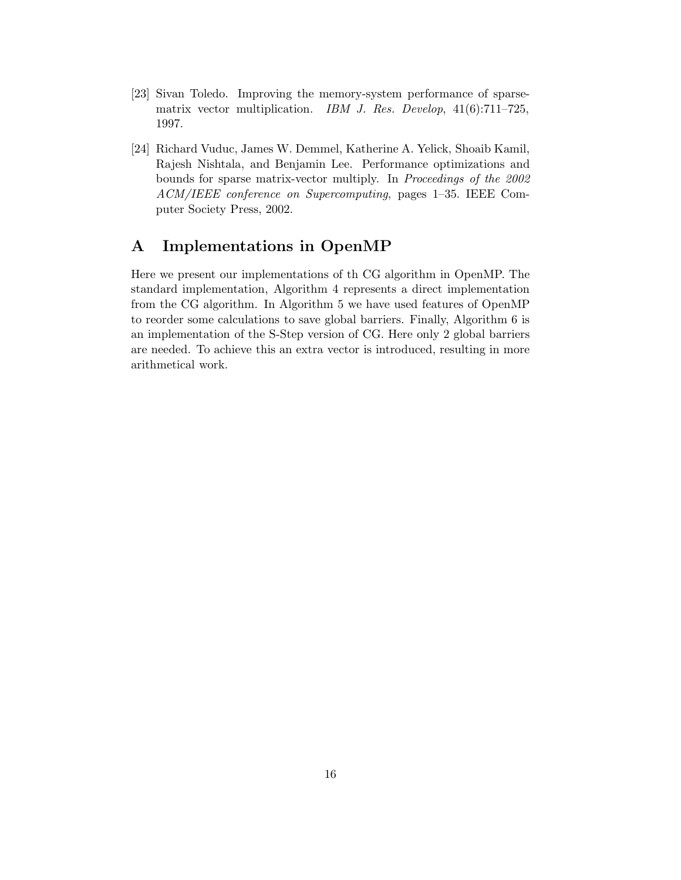- [23] Sivan Toledo. Improving the memory-system performance of sparsematrix vector multiplication. *IBM J. Res. Develop*, 41(6):711–725, 1997.
- [24] Richard Vuduc, James W. Demmel, Katherine A. Yelick, Shoaib Kamil, Rajesh Nishtala, and Benjamin Lee. Performance optimizations and bounds for sparse matrix-vector multiply. In *Proceedings of the 2002 ACM/IEEE conference on Supercomputing*, pages 1–35. IEEE Computer Society Press, 2002.

# **A Implementations in OpenMP**

Here we present our implementations of th CG algorithm in OpenMP. The standard implementation, Algorithm 4 represents a direct implementation from the CG algorithm. In Algorithm 5 we have used features of OpenMP to reorder some calculations to save global barriers. Finally, Algorithm 6 is an implementation of the S-Step version of CG. Here only 2 global barriers are needed. To achieve this an extra vector is introduced, resulting in more arithmetical work.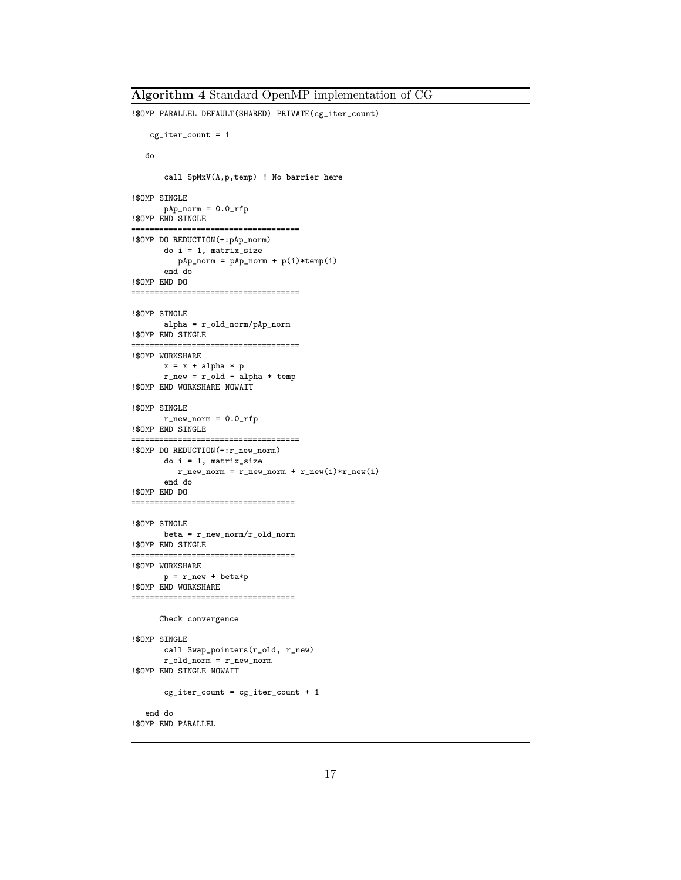```
!$OMP PARALLEL DEFAULT(SHARED) PRIVATE(cg_iter_count)
   cg\_iter\_count = 1do
       call SpMxV(A,p,temp) ! No barrier here
!$OMP SINGLE
      pAp\_norm = 0.0\_rfp!$OMP END SINGLE
====================================
!$OMP DO REDUCTION(+:pAp_norm)
      do i = 1, matrix_size
        pAp_norm = pAp_norm + p(i)*temp(i)
       end do
!$OMP END DO
====================================
!$OMP SINGLE
      alpha = r_old_norm/pAp_norm
!$OMP END SINGLE
====================================
!$OMP WORKSHARE
      x = x + alpha * pr_{new} = r_{old} - alpha * temp!$OMP END WORKSHARE NOWAIT
!$OMP SINGLE
      r_new\_norm = 0.0\_rfp!$OMP END SINGLE
====================================
!$OMP DO REDUCTION(+:r_new_norm)
      do i = 1, matrix_size
         r_new\_norm = r_new\_norm + r_new(i) * r_new(i)end do
!$OMP END DO
===================================
!$OMP SINGLE
      beta = r_new_norm/r_old_norm!$OMP END SINGLE
===================================
!$OMP WORKSHARE
     p = r_new + beta*p!$OMP END WORKSHARE
===================================
      Check convergence
!$OMP SINGLE
      call Swap_pointers(r_old, r_new)
      r_{\text{old\_norm}} = r_{\text{new\_norm}}!$OMP END SINGLE NOWAIT
      cg\_iter\_count = cg\_iter\_count + 1end do
!$OMP END PARALLEL
```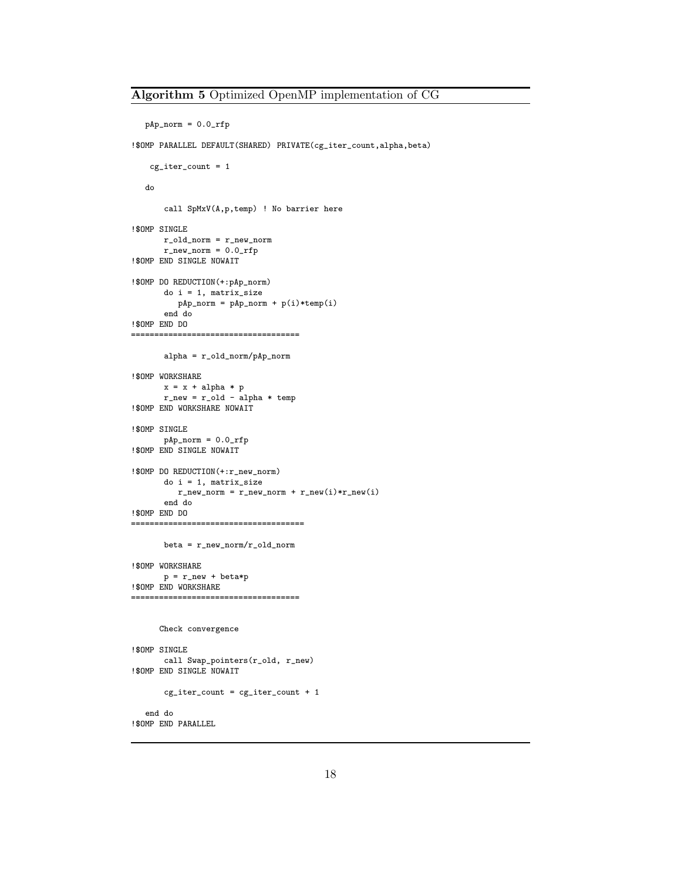```
pAp\_norm = 0.0\_rfp
```
!\$OMP PARALLEL DEFAULT(SHARED) PRIVATE(cg\_iter\_count,alpha,beta)

```
cg\_iter\_count = 1do
       call SpMxV(A,p,temp) ! No barrier here
!$OMP SINGLE
      r_old_norm = r_new_norm
      r_new_norm = 0.0-rfp!$OMP END SINGLE NOWAIT
!$OMP DO REDUCTION(+:pAp_norm)
      do i = 1, matrix_size
        pAp_norm = pAp_norm + p(i)*temp(i)
       end do
!$OMP END DO
====================================
       alpha = r_old_norm/pAp_norm
!$OMP WORKSHARE
      x = x + alpha * pr_new = r\_old - alpha * temp!$OMP END WORKSHARE NOWAIT
!$OMP SINGLE
      pAp\_norm = 0.0\_rfp!$OMP END SINGLE NOWAIT
!$OMP DO REDUCTION(+:r_new_norm)
      do i = 1, matrix_size
         r_new\_norm = r_new\_norm + r_new(i) * r_new(i)end do
!$OMP END DO
=====================================
       beta = r_new_norm/r_old_norm
!$OMP WORKSHARE
      p = r_new + beta*p!$OMP END WORKSHARE
====================================
     Check convergence
!$OMP SINGLE
      call Swap_pointers(r_old, r_new)
!$OMP END SINGLE NOWAIT
       cg\_iter\_count = cg\_iter\_count + 1end do
!$OMP END PARALLEL
```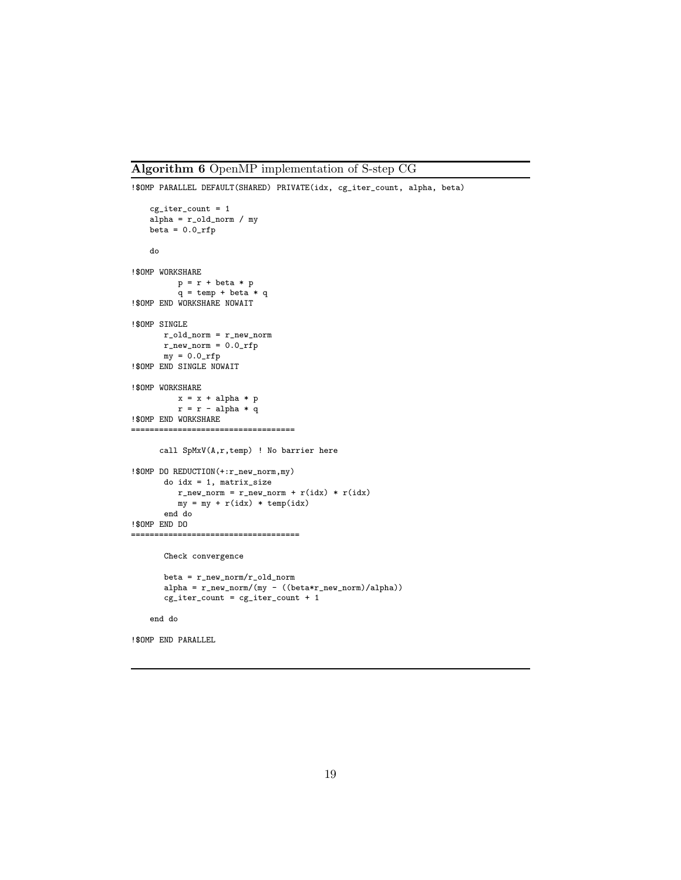#### **Algorithm 6** OpenMP implementation of S-step CG

```
!$OMP PARALLEL DEFAULT(SHARED) PRIVATE(idx, cg_iter_count, alpha, beta)
   cg\_iter\_count = 1alpha = r_old_norm / my
   beta = 0.0_rfp
   do
!$OMP WORKSHARE
         p = r + \text{beta} * pq = temp + beta * q!$OMP END WORKSHARE NOWAIT
!$OMP SINGLE
      r_old_norm = r_new_norm
      r_new_norm = 0.0_rfpmy = 0.0\_rfp!$OMP END SINGLE NOWAIT
!$OMP WORKSHARE
         x = x + alpha * pr = r - alpha * q!$OMP END WORKSHARE
===================================
      call SpMxV(A,r,temp) ! No barrier here
!$OMP DO REDUCTION(+:r_new_norm,my)
      do idx = 1, matrix_size
         r_new\_norm = r_new\_norm + r(idx) * r(idx)my = my + r(idx) * temp(idx)end do
!$OMP END DO
====================================
      Check convergence
      beta = r_new_norm/r_old_norm
      alpha = r_new\_norm/(my - ((beta*r_new\_norm)/alpha))cg_iter_count = cg_iter_count + 1
    end do
!$OMP END PARALLEL
```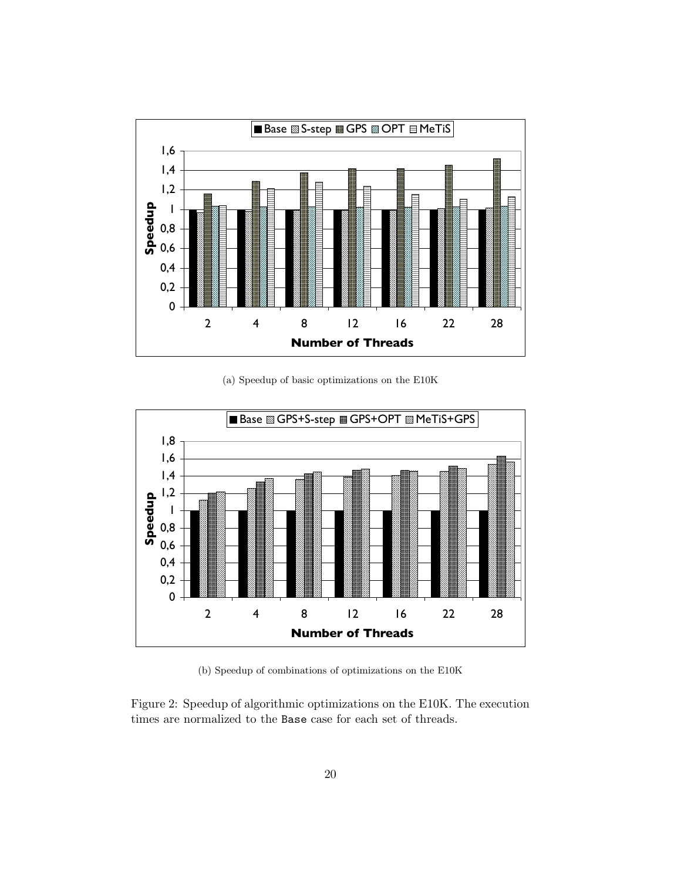

(a) Speedup of basic optimizations on the E10K



(b) Speedup of combinations of optimizations on the E10K

Figure 2: Speedup of algorithmic optimizations on the E10K. The execution times are normalized to the Base case for each set of threads.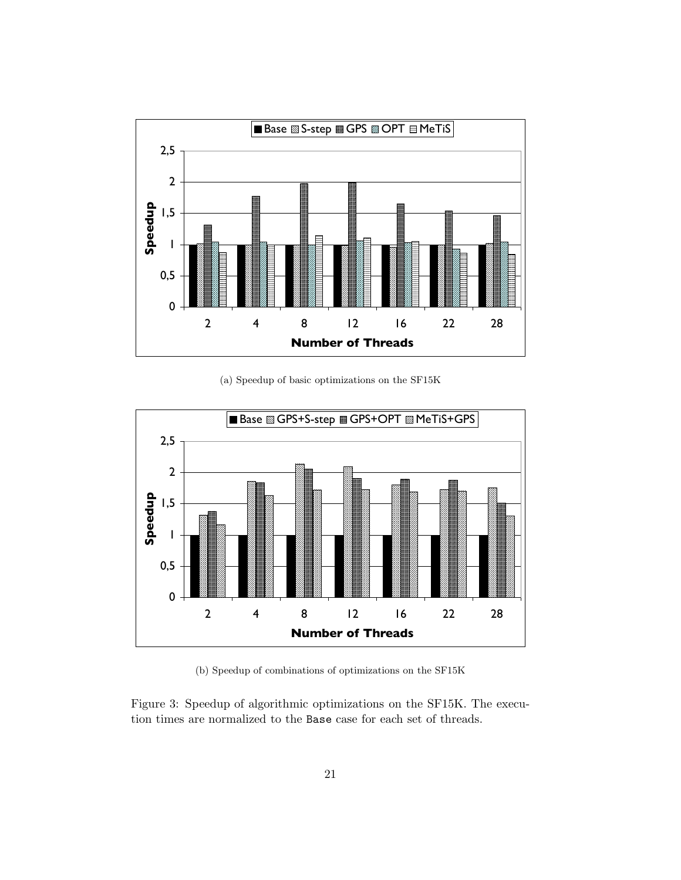

(a) Speedup of basic optimizations on the SF15K



(b) Speedup of combinations of optimizations on the SF15K

Figure 3: Speedup of algorithmic optimizations on the SF15K. The execution times are normalized to the Base case for each set of threads.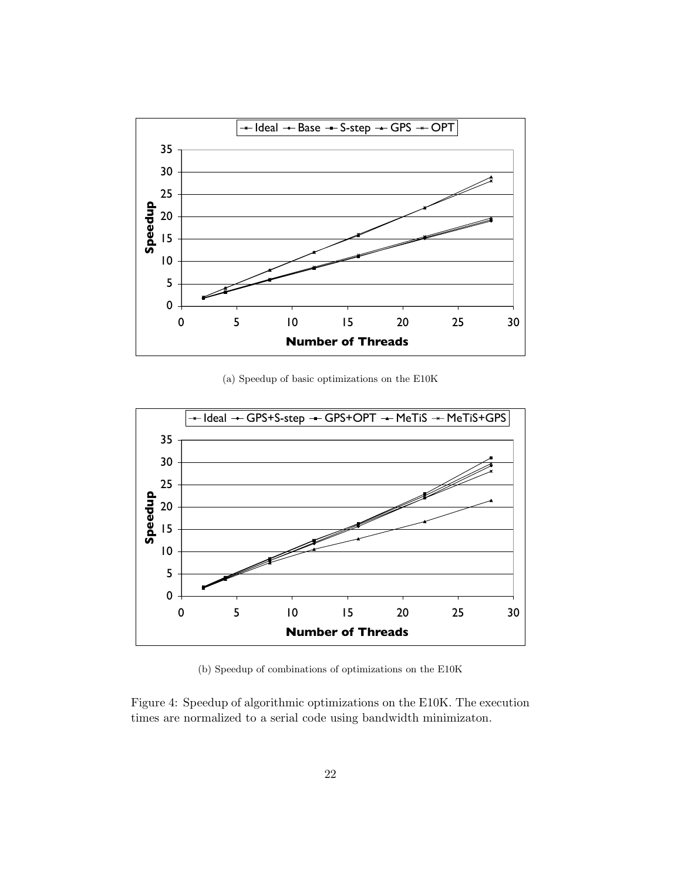

(a) Speedup of basic optimizations on the E10K



(b) Speedup of combinations of optimizations on the E10K

Figure 4: Speedup of algorithmic optimizations on the E10K. The execution times are normalized to a serial code using bandwidth minimizaton.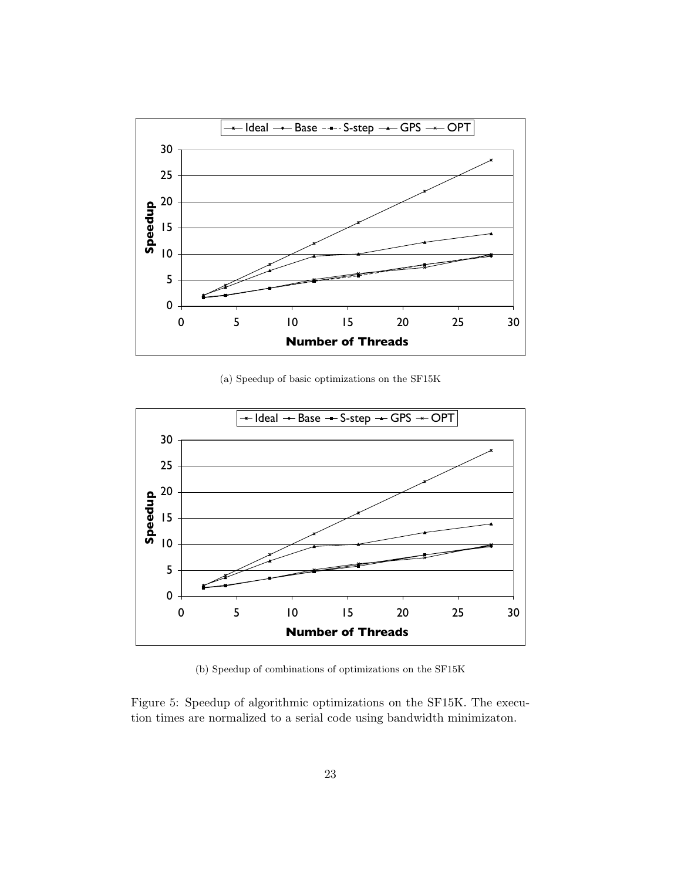

(a) Speedup of basic optimizations on the SF15K



(b) Speedup of combinations of optimizations on the SF15K

Figure 5: Speedup of algorithmic optimizations on the SF15K. The execution times are normalized to a serial code using bandwidth minimizaton.